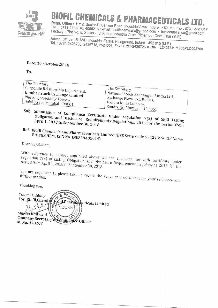

## **BIOFIL CHEMICALS & PHARMACEUTICAL**

Regd. Office: 11/12, Sector-E, Sanwer Road, Industrial Area, Indore - 452 015. Fax: 0731-2723017 Tel.: 0731-2723016, 4066216 E-mail: biofilchemicals@yahoo.com / bcplcompliance@gmail.com Factory: Plot No. 8, Sector - IV, Kheda Industrial Area, Pithampur Distt. Dhar (M.P.)

Admn. Office: B-12/B, Industrial Estate, Pologround, Indore - 452 015 (M.P.) Tel.: 0731-2426700, 2426718, 2524003, Fax: 0731-2426726 CIN: L24233MP1985PLC002709

Date: 10th October, 2018

To,

| The Secretary,                                                                                    |                                                                                                                                           |
|---------------------------------------------------------------------------------------------------|-------------------------------------------------------------------------------------------------------------------------------------------|
| . Corporate Relationship Department,                                                              | ∣ The Secretary,                                                                                                                          |
| <b>Bombay Stock Exchange Limited</b><br>Phiroze Jeejeebhoy Towers,<br>Dalal Street, Mumbai-400001 | National Stock Exchange of India Ltd.,<br>  Exchange Plaza, C-1, Block G,<br>  Bandra Kurla Complex,<br>$\pm$ Bandra (E) Mumbai - 400.055 |

Sub: Submission of Compliance Certificate under regulation 7(3) of SEBI Listing Obligation and Disclosure Requirements Regulations, 2015 for the period from

# Ref: Biofil Chemicals and Pharmaceuticals Limited (BSE Scrip Code 524396; SCRIP Name

Dear Sir/Madam,

With reference to subject captioned above we are enclosing herewith certificate under regulation 7(3) of Listing Obligation and Disclosure Requirement Regulations 2015 for the period from April 1, 2018 to September 30, 2018.

You are requested to please take on record the above said document for your reference and

Thanking you,

Yours Faithfully For, Biofil Chemicals® and Pharmachuticals Limited **INDORE** Shikha Khilwani Suikua Mulwani M. No. A43203